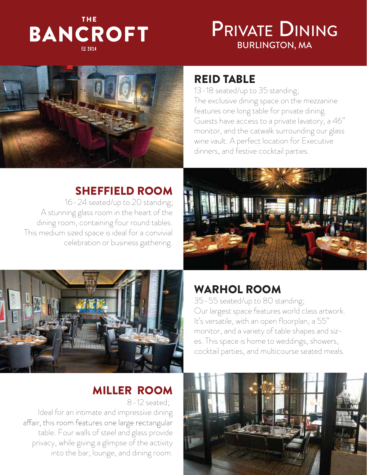# THE **BANCROFT**

# BURLINGTON, MA PRIVATE DINING



# REID TABLE

13-18 seated/up to 35 standing; The exclusive dining space on the mezzanine features one long table for private dining. Guests have access to a private lavatory, a 46" monitor, and the catwalk surrounding our glass wine vault. A perfect location for Executive dinners, and festive cocktail parties.

# SHEFFIELD ROOM

16-24 seated/up to 20 standing; A stunning glass room in the heart of the dining room, containing four round tables. This medium sized space is ideal for a convivial celebration or business gathering.





# WARHOL ROOM

35-55 seated/up to 80 standing; Our largest space features world class artwork. It's versatile, with an open floorplan, a 55" monitor, and a variety of table shapes and sizes. This space is home to weddings, showers, cocktail parties, and multicourse seated meals.

# MILLER ROOM

8-12 seated; Ideal for an intimate and impressive dining affair, this room features one large rectangular table. Four walls of steel and glass provide privacy, while giving a glimpse of the activity into the bar, lounge, and dining room.

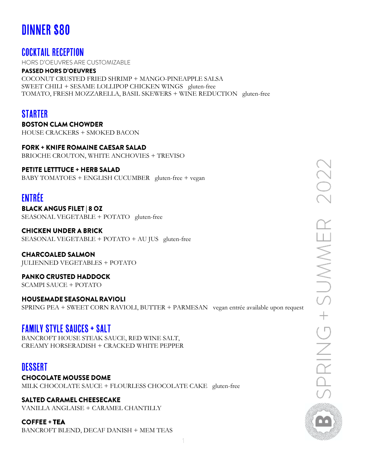# **DINNER \$80**

## **COCKTAIL RECEPTION**

HORS D'OEUVRES ARE CUSTOMIZABLE

## **PASSED HORS D'OEUVRES**

COCONUT CRUSTED FRIED SHRIMP + MANGO-PINEAPPLE SALSA SWEET CHILI + SESAME LOLLIPOP CHICKEN WINGS gluten-free TOMATO, FRESH MOZZARELLA, BASIL SKEWERS + WINE REDUCTION gluten-free

## **STARTER**

**BOSTON CLAM CHOWDER** HOUSE CRACKERS + SMOKED BACON

## **FORK + KNIFE ROMAINE CAESAR SALAD**

BRIOCHE CROUTON, WHITE ANCHOVIES + TREVISO

## **PETITE LETTTUCE + HERB SALAD**

BABY TOMATOES + ENGLISH CUCUMBER gluten-free + vegan

## **ENTRÉE**

**BLACK ANGUS FILET | 8 OZ** SEASONAL VEGETABLE + POTATO gluten-free

**CHICKEN UNDER A BRICK** SEASONAL VEGETABLE + POTATO + AU JUS gluten-free

## **CHARCOALED SALMON**

JULIENNED VEGETABLES + POTATO

**PANKO CRUSTED HADDOCK** SCAMPI SAUCE + POTATO

**HOUSEMADE SEASONAL RAVIOLI** SPRING PEA + SWEET CORN RAVIOLI, BUTTER + PARMESAN vegan entrée available upon request

## **FAMILY STYLE SAUCES + SALT**

BANCROFT HOUSE STEAK SAUCE, RED WINE SALT, CREAMY HORSERADISH + CRACKED WHITE PEPPER

## **DESSERT**

**CHOCOLATE MOUSSE DOME** MILK CHOCOLATE SAUCE + FLOURLESS CHOCOLATE CAKE gluten-free

## **SALTED CARAMEL CHEESECAKE**

VANILLA ANGLAISE + CARAMEL CHANTILLY

**COFFEE + TEA** 

BANCROFT BLEND, DECAF DANISH + MEM TEAS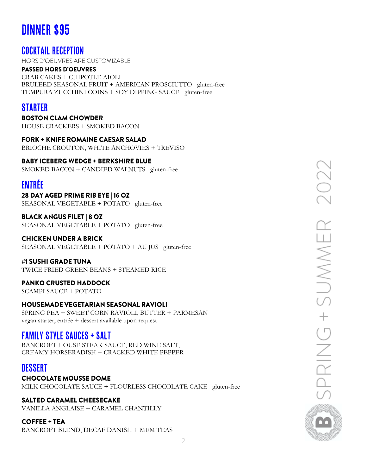# **DINNER \$95**

## **COCKTAIL RECEPTION**

HORS D'OEUVRES ARE CUSTOMIZABLE

#### **PASSED HORS D'OEUVRES**

CRAB CAKES + CHIPOTLE AIOLI BRULEED SEASONAL FRUIT + AMERICAN PROSCIUTTO gluten-free TEMPURA ZUCCHINI COINS + SOY DIPPING SAUCE gluten-free

## **STARTER**

**BOSTON CLAM CHOWDER** HOUSE CRACKERS + SMOKED BACON

**FORK + KNIFE ROMAINE CAESAR SALAD** BRIOCHE CROUTON, WHITE ANCHOVIES + TREVISO

**BABY ICEBERG WEDGE + BERKSHIRE BLUE** SMOKED BACON + CANDIED WALNUTS gluten-free

# **ENTRÉE**

28 DAY AGED PRIME RIB EYE | 16 OZ SEASONAL VEGETABLE + POTATO gluten-free

**BLACK ANGUS FILET | 8 OZ** SEASONAL VEGETABLE + POTATO gluten-free

### **CHICKEN UNDER A BRICK**

SEASONAL VEGETABLE + POTATO + AU JUS gluten-free

#1 SUSHI GRADE TUNA TWICE FRIED GREEN BEANS + STEAMED RICE

## **PANKO CRUSTED HADDOCK**

SCAMPI SAUCE + POTATO

## **HOUSEMADE VEGETARIAN SEASONAL RAVIOLI**

SPRING PEA + SWEET CORN RAVIOLI, BUTTER + PARMESAN vegan starter, entrée + dessert available upon request

## **FAMILY STYLE SAUCES + SALT**

BANCROFT HOUSE STEAK SAUCE, RED WINE SALT, CREAMY HORSERADISH + CRACKED WHITE PEPPER

## DESSERT

**CHOCOLATE MOUSSE DOME** MILK CHOCOLATE SAUCE + FLOURLESS CHOCOLATE CAKE gluten-free

## **SALTED CARAMEL CHEESECAKE**

VANILLA ANGLAISE + CARAMEL CHANTILLY

**COFFEE + TEA** 

BANCROFT BLEND, DECAF DANISH + MEM TEAS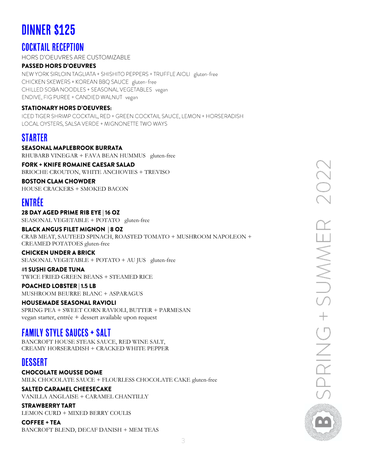# **DINNER \$125**

## **COCKTAIL RECEPTION**

**HORS D'OEUVRES ARE CUSTOMIZABLE** 

## **PASSED HORS D'OEUVRES**

NEW YORK SIRLOIN TAGLIATA + SHISHITO PEPPERS + TRUFFLE AIOLI gluten-free CHICKEN SKEWERS + KOREAN BBQ SAUCE gluten-free CHILLED SOBA NOODLES + SEASONAL VEGETABLES vegan ENDIVE, FIG PUREE + CANDIED WALNUT vegan

### **STATIONARY HORS D'OEUVRES:**

ICED TIGER SHRIMP COCKTAIL, RED + GREEN COCKTAIL SAUCE, LEMON + HORSERADISH LOCAL OYSTERS, SALSA VERDE + MIGNONETTE TWO WAYS

## **STARTER**

#### **SEASONAL MAPLEBROOK BURRATA** RHUBARB VINEGAR + FAVA BEAN HUMMUS gluten-free

**FORK + KNIFE ROMAINE CAESAR SALAD** BRIOCHE CROUTON, WHITE ANCHOVIES + TREVISO

#### **BOSTON CLAM CHOWDER**

HOUSE CRACKERS + SMOKED BACON

# ENTRÉE

28 DAY AGED PRIME RIB EYE | 16 OZ SEASONAL VEGETABLE + POTATO gluten-free

#### **BLACK ANGUS FILET MIGNON | 8 OZ** CRAB MEAT, SAUTEED SPINACH, ROASTED TOMATO + MUSHROOM NAPOLEON + CREAMED POTATOES gluten-free

### **CHICKEN UNDER A BRICK**

SEASONAL VEGETABLE + POTATO + AU JUS gluten-free

#### #1 SUSHI GRADE TUNA TWICE FRIED GREEN BEANS + STEAMED RICE

**POACHED LOBSTER | 1.5 LB** 

MUSHROOM BEURRE BLANC + ASPARAGUS

#### **HOUSEMADE SEASONAL RAVIOLI**

SPRING PEA + SWEET CORN RAVIOLI, BUTTER + PARMESAN vegan starter, entrée + dessert available upon request

## **FAMILY STYLE SAUCES + SALT**

BANCROFT HOUSE STEAK SAUCE, RED WINE SALT, CREAMY HORSERADISH + CRACKED WHITE PEPPER

## **DESSERT**

**CHOCOLATE MOUSSE DOME** MILK CHOCOLATE SAUCE + FLOURLESS CHOCOLATE CAKE gluten-free

### **SALTED CARAMEL CHEESECAKE**

VANILLA ANGLAISE + CARAMEL CHANTILLY

### **STRAWBERRY TART**

LEMON CURD + MIXED BERRY COULIS

**COFFEE + TEA** BANCROFT BLEND, DECAF DANISH + MEM TEAS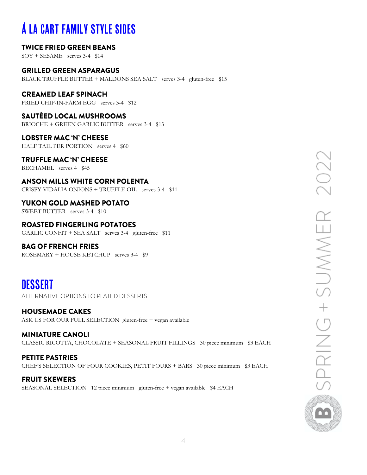# **Á LA CART FAMILY STYLE SIDES**

## **TWICE FRIED GREEN BEANS**

SOY + SESAME serves 3-4 \$14

#### **GRILLED GREEN ASPARAGUS**

BLACK TRUFFLE BUTTER + MALDONS SEA SALT serves 3-4 gluten-free \$15

## **CREAMED LEAF SPINACH**

FRIED CHIP-IN-FARM EGG serves 3-4 \$12

## **SAUTÉED LOCAL MUSHROOMS**

BRIOCHE + GREEN GARLIC BUTTER serves 3-4 \$13

## **LOBSTER MAC 'N' CHEESE**

HALF TAIL PER PORTION serves 4 \$60

## **TRUFFLE MAC 'N' CHEESE**

BECHAMEL serves 4 \$45

## **ANSON MILLS WHITE CORN POLENTA**

CRISPY VIDALIA ONIONS + TRUFFLE OIL serves 3-4 \$11

## YUKON GOLD MASHED POTATO

SWEET BUTTER serves 3-4 \$10

## **ROASTED FINGERLING POTATOES**

GARLIC CONFIT + SEA SALT serves 3-4 gluten-free \$11

## **BAG OF FRENCH FRIES**

ROSEMARY + HOUSE KETCHUP serves 3-4 \$9

# **DESSERT**

ALTERNATIVE OPTIONS TO PLATED DESSERTS.

## **HOUSEMADE CAKES**

ASK US FOR OUR FULL SELECTION gluten-free + vegan available

## **MINIATURE CANOLI** CLASSIC RICOTTA, CHOCOLATE + SEASONAL FRUIT FILLINGS 30 piece minimum \$3 EACH

**PETITE PASTRIES** CHEF'S SELECTION OF FOUR COOKIES, PETIT FOURS + BARS 30 piece minimum \$3 EACH

### **FRUIT SKEWERS** SEASONAL SELECTION 12 piece minimum gluten-free + vegan available \$4 EACH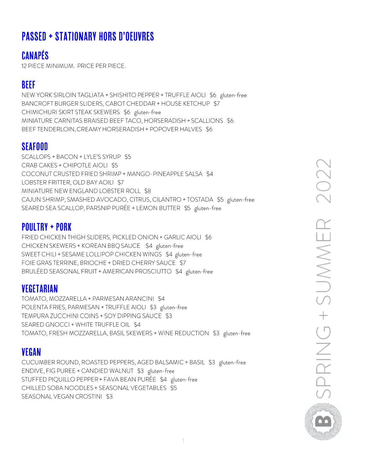# **PASSED + STATIONARY HORS D'OEUVRES**

# **CANAPÉS**

12 PIECE MINIMUM. PRICE PER PIECE.

# **BEEF**

NEW YORK SIRLOIN TAGLIATA + SHISHITO PEPPER + TRUFFLE AIOLI \$6 gluten-free BANCROFT BURGER SLIDERS, CABOT CHEDDAR + HOUSE KETCHUP \$7 CHIMICHURI SKIRT STEAK SKEWERS \$6 gluten-free MINIATURE CARNITAS BRAISED BEEF TACO, HORSERADISH + SCALLIONS \$6 BEEF TENDERLOIN, CREAMY HORSERADISH + POPOVER HALVES \$6

# **SEAFOOD**

SCALLOPS + BACON + LYLE'S SYRUP \$5 CRAB CAKES + CHIPOTLE AIOLI \$5 COCONUT CRUSTED FRIED SHRIMP + MANGO-PINEAPPLE SALSA \$4 LOBSTER FRITTER, OLD BAY AOILI \$7 MINIATURE NEW ENGLAND LOBSTER ROLL \$8 CAJUN SHRIMP, SMASHED AVOCADO, CITRUS, CILANTRO + TOSTADA \$5 gluten-free SEARED SEA SCALLOP, PARSNIP PURÉE + LEMON BUTTER \$5 gluten-free

## **POULTRY + PORK**

FRIED CHICKEN THIGH SLIDERS, PICKLED ONION + GARLIC AIOLI \$6 CHICKEN SKEWERS + KOREAN BBQ SAUCE \$4 gluten-free SWEET CHILI + SESAME LOLLIPOP CHICKEN WINGS \$4 gluten-free FOIE GRAS TERRINE, BRIOCHE + DRIED CHERRY SAUCE \$7 BRULÉED SEASONAL FRUIT + AMERICAN PROSCIUTTO \$4 gluten-free

## **VEGETARIAN**

TOMATO, MOZZARELLA + PARMESAN ARANCINI \$4 POLENTA FRIES, PARMESAN + TRUFFLE AIOLI \$3 gluten-free TEMPURA ZUCCHINI COINS + SOY DIPPING SAUCE \$3 SEARED GNOCCI + WHITE TRUFFLE OIL \$4 TOMATO, FRESH MOZZARELLA, BASIL SKEWERS + WINE REDUCTION \$3 gluten-free

# **VEGAN**

CUCUMBER ROUND, ROASTED PEPPERS, AGED BALSAMIC + BASIL \$3 gluten-free ENDIVE, FIG PUREE + CANDIED WALNUT \$3 gluten-free STUFFED PIQUILLO PEPPER + FAVA BEAN PURÉE \$4 gluten-free CHILLED SOBA NOODLES + SEASONAL VEGETABLES \$5 SEASONAL VEGAN CROSTINI \$3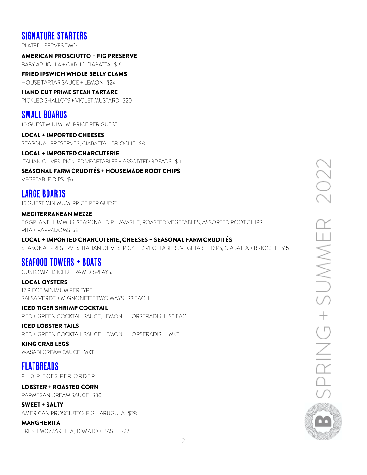## **SIGNATURE STARTERS**

PLATED. SERVES TWO.

#### **AMERICAN PROSCIUTTO + FIG PRESERVE**

BABY ARUGULA + GARLIC CIABATTA \$16

**FRIED IPSWICH WHOLE BELLY CLAMS** HOUSE TARTAR SAUCE + LEMON \$24

## **HAND CUT PRIME STEAK TARTARE**

PICKLED SHALLOTS + VIOLET MUSTARD \$20

## **SMALL BOARDS**

10 GUEST MINIMUM. PRICE PER GUEST.

### **LOCAL + IMPORTED CHEESES**

SEASONAL PRESERVES, CIABATTA + BRIOCHE \$8

#### **LOCAL + IMPORTED CHARCUTERIE**

ITALIAN OLIVES, PICKLED VEGETABLES + ASSORTED BREADS \$11

#### **SEASONAL FARM CRUDITÉS + HOUSEMADE ROOT CHIPS**

**VEGETABLE DIPS \$6** 

## **LARGE BOARDS**

15 GUEST MINIMUM. PRICE PER GUEST.

#### **MEDITERRANEAN MEZZE**

EGGPLANT HUMMUS, SEASONAL DIP, LAVASHE, ROASTED VEGETABLES, ASSORTED ROOT CHIPS, PITA + PAPPADOMS \$8

#### LOCAL + IMPORTED CHARCUTERIE, CHEESES + SEASONAL FARM CRUDITÉS

SEASONAL PRESERVES, ITALIAN OLIVES, PICKLED VEGETABLES, VEGETABLE DIPS, CIABATTA + BRIOCHE \$15

# **SEAFOOD TOWERS + BOATS**

CUSTOMIZED ICED + RAW DISPLAYS.

#### **LOCAL OYSTERS**

12 PIECE MINIMUM PER TYPE. SALSA VERDE + MIGNONETTE TWO WAYS \$3 EACH

#### **ICED TIGER SHRIMP COCKTAIL**

RED + GREEN COCKTAIL SAUCE, LEMON + HORSERADISH \$5 EACH

### **ICED LOBSTER TAILS**

RED + GREEN COCKTAIL SAUCE, LEMON + HORSERADISH MKT

## **KING CRAB LEGS**

WASABI CREAM SAUCE MKT

## **FLATBREADS**

8-10 PIECES PER ORDER.

#### **LOBSTER + ROASTED CORN** PARMESAN CREAM SAUCE \$30

**SWEET + SALTY** AMERICAN PROSCIUTTO, FIG + ARUGULA \$28

#### **MARGHERITA**

FRESH MOZZARELLA, TOMATO + BASIL \$22